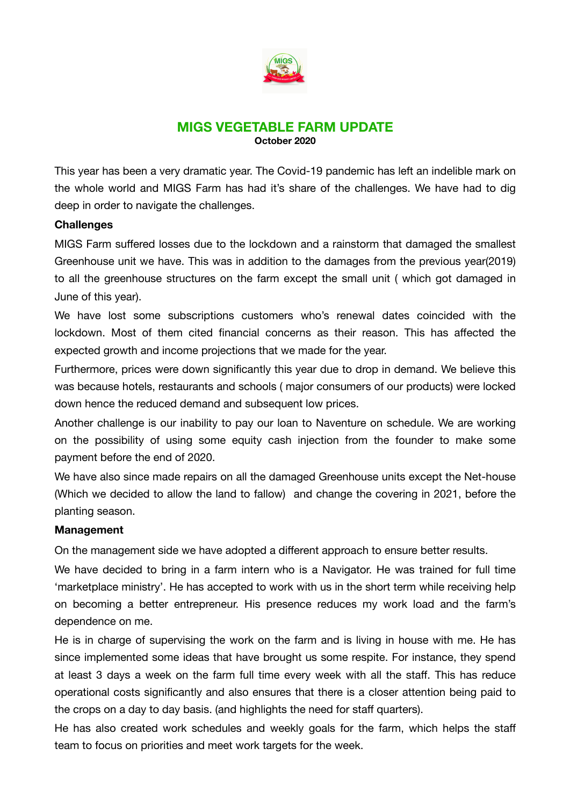

# **MIGS VEGETABLE FARM UPDATE October 2020**

This year has been a very dramatic year. The Covid-19 pandemic has left an indelible mark on the whole world and MIGS Farm has had it's share of the challenges. We have had to dig deep in order to navigate the challenges.

## **Challenges**

MIGS Farm suffered losses due to the lockdown and a rainstorm that damaged the smallest Greenhouse unit we have. This was in addition to the damages from the previous year(2019) to all the greenhouse structures on the farm except the small unit ( which got damaged in June of this year).

We have lost some subscriptions customers who's renewal dates coincided with the lockdown. Most of them cited financial concerns as their reason. This has affected the expected growth and income projections that we made for the year.

Furthermore, prices were down significantly this year due to drop in demand. We believe this was because hotels, restaurants and schools ( major consumers of our products) were locked down hence the reduced demand and subsequent low prices.

Another challenge is our inability to pay our loan to Naventure on schedule. We are working on the possibility of using some equity cash injection from the founder to make some payment before the end of 2020.

We have also since made repairs on all the damaged Greenhouse units except the Net-house (Which we decided to allow the land to fallow) and change the covering in 2021, before the planting season.

## **Management**

On the management side we have adopted a different approach to ensure better results.

We have decided to bring in a farm intern who is a Navigator. He was trained for full time 'marketplace ministry'. He has accepted to work with us in the short term while receiving help on becoming a better entrepreneur. His presence reduces my work load and the farm's dependence on me.

He is in charge of supervising the work on the farm and is living in house with me. He has since implemented some ideas that have brought us some respite. For instance, they spend at least 3 days a week on the farm full time every week with all the staff. This has reduce operational costs significantly and also ensures that there is a closer attention being paid to the crops on a day to day basis. (and highlights the need for staff quarters).

He has also created work schedules and weekly goals for the farm, which helps the staff team to focus on priorities and meet work targets for the week.